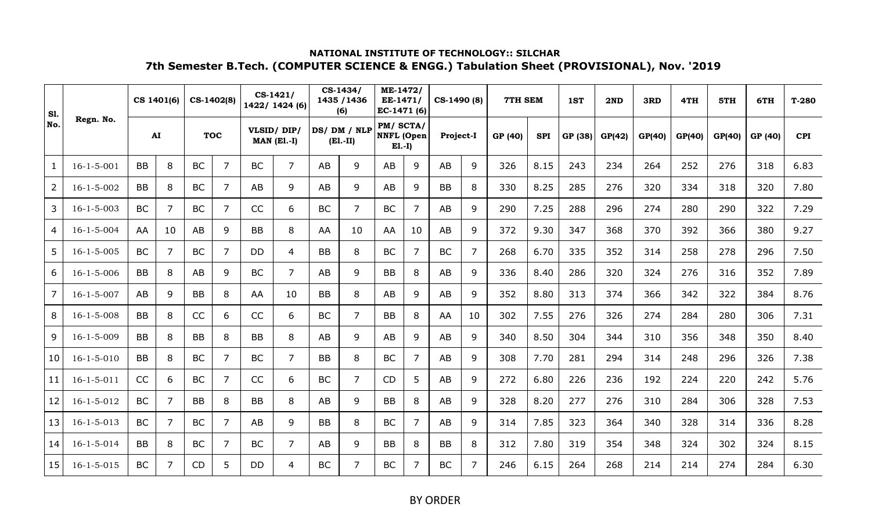| <b>S1.</b>     |                    |           | CS 1401(6)     |           | CS-1402(8)     |           | $CS-1421/$<br>1422/ 1424 (6) |           | CS-1434/<br>1435 / 1436<br>(6) | ME-1472/<br>EE-1471/<br>EC-1471 (6)       |    | CS-1490 (8) |                | <b>7TH SEM</b> |            | 1ST     | 2ND    | 3RD    | 4TH    | 5TH    | 6TH     | $T-280$    |
|----------------|--------------------|-----------|----------------|-----------|----------------|-----------|------------------------------|-----------|--------------------------------|-------------------------------------------|----|-------------|----------------|----------------|------------|---------|--------|--------|--------|--------|---------|------------|
| No.            | Regn. No.          |           | AI             |           | <b>TOC</b>     |           | VLSID/DIP/<br>$MAN$ (E1.-I)  |           | DS/DM/NLP<br>$(E1.-II)$        | PM/SCTA/<br><b>NNFL</b> (Open<br>$E1.-I)$ |    | Project-I   |                | GP (40)        | <b>SPI</b> | GP (38) | GP(42) | GP(40) | GP(40) | GP(40) | GP (40) | <b>CPI</b> |
| 1              | $16 - 1 - 5 - 001$ | <b>BB</b> | 8              | <b>BC</b> | $\overline{7}$ | <b>BC</b> | $\overline{7}$               | AB        | 9                              | AB                                        | 9  | AB          | 9              | 326            | 8.15       | 243     | 234    | 264    | 252    | 276    | 318     | 6.83       |
| $\overline{2}$ | $16 - 1 - 5 - 002$ | <b>BB</b> | 8              | <b>BC</b> | 7              | AB        | 9                            | AB        | 9                              | AB                                        | 9  | <b>BB</b>   | 8              | 330            | 8.25       | 285     | 276    | 320    | 334    | 318    | 320     | 7.80       |
| 3              | $16 - 1 - 5 - 003$ | <b>BC</b> | $\overline{7}$ | <b>BC</b> | 7              | CC        | 6                            | <b>BC</b> | $\overline{7}$                 | <b>BC</b>                                 | 7  | AB          | 9              | 290            | 7.25       | 288     | 296    | 274    | 280    | 290    | 322     | 7.29       |
| 4              | $16 - 1 - 5 - 004$ | AA        | 10             | AB        | 9              | <b>BB</b> | 8                            | AA        | 10                             | AA                                        | 10 | AB          | 9              | 372            | 9.30       | 347     | 368    | 370    | 392    | 366    | 380     | 9.27       |
| 5              | $16 - 1 - 5 - 005$ | <b>BC</b> | $\overline{7}$ | <b>BC</b> | 7              | <b>DD</b> | 4                            | <b>BB</b> | 8                              | <b>BC</b>                                 | 7  | <b>BC</b>   | $\overline{7}$ | 268            | 6.70       | 335     | 352    | 314    | 258    | 278    | 296     | 7.50       |
| 6              | $16 - 1 - 5 - 006$ | <b>BB</b> | 8              | AB        | 9              | <b>BC</b> | $\overline{7}$               | AB        | 9                              | <b>BB</b>                                 | 8  | AB          | 9              | 336            | 8.40       | 286     | 320    | 324    | 276    | 316    | 352     | 7.89       |
| 7              | $16 - 1 - 5 - 007$ | AB        | 9              | <b>BB</b> | 8              | AA        | 10                           | <b>BB</b> | 8                              | AB                                        | 9  | AB          | 9              | 352            | 8.80       | 313     | 374    | 366    | 342    | 322    | 384     | 8.76       |
| 8              | $16 - 1 - 5 - 008$ | BB        | 8              | CC        | 6              | CC        | 6                            | <b>BC</b> | $\overline{7}$                 | <b>BB</b>                                 | 8  | AA          | 10             | 302            | 7.55       | 276     | 326    | 274    | 284    | 280    | 306     | 7.31       |
| 9              | $16 - 1 - 5 - 009$ | <b>BB</b> | 8              | <b>BB</b> | 8              | <b>BB</b> | 8                            | AB        | 9                              | AB                                        | 9  | AB          | 9              | 340            | 8.50       | 304     | 344    | 310    | 356    | 348    | 350     | 8.40       |
| 10             | $16 - 1 - 5 - 010$ | <b>BB</b> | 8              | <b>BC</b> | 7              | <b>BC</b> | $\overline{7}$               | <b>BB</b> | 8                              | <b>BC</b>                                 | 7  | AB          | 9              | 308            | 7.70       | 281     | 294    | 314    | 248    | 296    | 326     | 7.38       |
| 11             | $16 - 1 - 5 - 011$ | CC        | 6              | <b>BC</b> | 7              | CC        | 6                            | <b>BC</b> | $\overline{7}$                 | <b>CD</b>                                 | 5  | AB          | 9              | 272            | 6.80       | 226     | 236    | 192    | 224    | 220    | 242     | 5.76       |
| 12             | $16 - 1 - 5 - 012$ | <b>BC</b> | $\overline{7}$ | <b>BB</b> | 8              | <b>BB</b> | 8                            | AB        | 9                              | <b>BB</b>                                 | 8  | AB          | 9              | 328            | 8.20       | 277     | 276    | 310    | 284    | 306    | 328     | 7.53       |
| 13             | $16 - 1 - 5 - 013$ | <b>BC</b> | $\overline{7}$ | <b>BC</b> | 7              | <b>AB</b> | 9                            | <b>BB</b> | 8                              | <b>BC</b>                                 | 7  | AB          | 9              | 314            | 7.85       | 323     | 364    | 340    | 328    | 314    | 336     | 8.28       |
| 14             | $16 - 1 - 5 - 014$ | <b>BB</b> | 8              | <b>BC</b> | 7              | <b>BC</b> | $\overline{7}$               | AB        | 9                              | <b>BB</b>                                 | 8  | <b>BB</b>   | 8              | 312            | 7.80       | 319     | 354    | 348    | 324    | 302    | 324     | 8.15       |
| 15             | $16 - 1 - 5 - 015$ | <b>BC</b> | $\overline{7}$ | <b>CD</b> | 5              | <b>DD</b> | 4                            | <b>BC</b> | $\overline{7}$                 | <b>BC</b>                                 | 7  | <b>BC</b>   | $\overline{7}$ | 246            | 6.15       | 264     | 268    | 214    | 214    | 274    | 284     | 6.30       |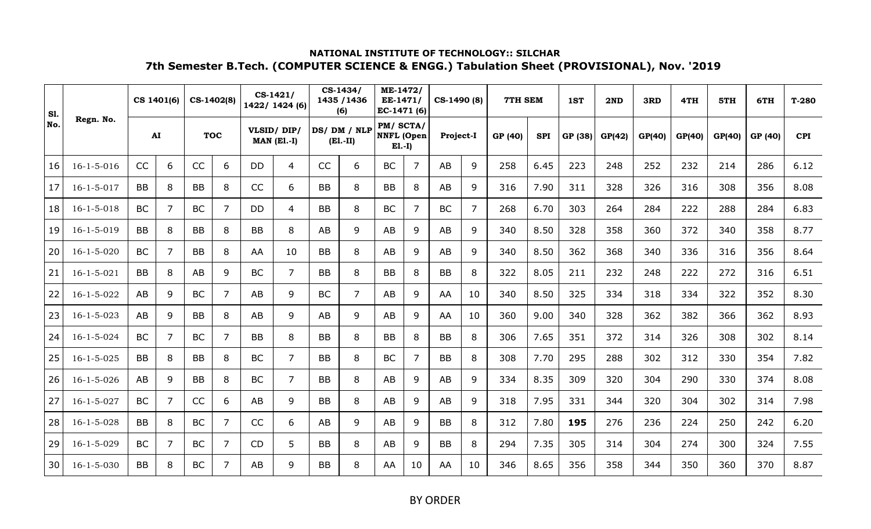| <b>S1.</b> |                    |           | CS 1401(6)     |           | CS-1402(8)     |           | $CS-1421/$<br>1422/ 1424 (6)     |           | CS-1434/<br>1435 / 1436<br>(6) | ME-1472/<br>EE-1471/<br>EC-1471 (6)        |    | CS-1490 (8) |                | 7TH SEM |            | 1ST     | 2ND    | 3RD    | 4TH    | 5TH    | 6TH     | $T-280$    |
|------------|--------------------|-----------|----------------|-----------|----------------|-----------|----------------------------------|-----------|--------------------------------|--------------------------------------------|----|-------------|----------------|---------|------------|---------|--------|--------|--------|--------|---------|------------|
| No.        | Regn. No.          |           | AI             |           | <b>TOC</b>     |           | VLSID/DIP/<br><b>MAN (El.-I)</b> |           | DS/DM/NLP<br>$(E1.-II)$        | PM/ SCTA/<br><b>NNFL</b> (Open<br>$E1.-I)$ |    | Project-I   |                | GP (40) | <b>SPI</b> | GP (38) | GP(42) | GP(40) | GP(40) | GP(40) | GP (40) | <b>CPI</b> |
| 16         | $16 - 1 - 5 - 016$ | CC        | 6              | CC        | 6              | <b>DD</b> | 4                                | CC        | 6                              | <b>BC</b>                                  | 7  | AB          | 9              | 258     | 6.45       | 223     | 248    | 252    | 232    | 214    | 286     | 6.12       |
| 17         | $16 - 1 - 5 - 017$ | <b>BB</b> | 8              | <b>BB</b> | 8              | CC        | 6                                | <b>BB</b> | 8                              | <b>BB</b>                                  | 8  | AB          | 9              | 316     | 7.90       | 311     | 328    | 326    | 316    | 308    | 356     | 8.08       |
| 18         | $16 - 1 - 5 - 018$ | <b>BC</b> | $\overline{7}$ | <b>BC</b> | 7              | <b>DD</b> | 4                                | <b>BB</b> | 8                              | <b>BC</b>                                  | 7  | <b>BC</b>   | $\overline{7}$ | 268     | 6.70       | 303     | 264    | 284    | 222    | 288    | 284     | 6.83       |
| 19         | $16 - 1 - 5 - 019$ | <b>BB</b> | 8              | <b>BB</b> | 8              | <b>BB</b> | 8                                | AB        | 9                              | AB                                         | 9  | AB          | 9              | 340     | 8.50       | 328     | 358    | 360    | 372    | 340    | 358     | 8.77       |
| 20         | $16 - 1 - 5 - 020$ | <b>BC</b> | $\overline{7}$ | <b>BB</b> | 8              | AA        | 10                               | <b>BB</b> | 8                              | AB                                         | 9  | AB          | 9              | 340     | 8.50       | 362     | 368    | 340    | 336    | 316    | 356     | 8.64       |
| 21         | $16 - 1 - 5 - 021$ | <b>BB</b> | 8              | AB        | 9              | <b>BC</b> | $\overline{7}$                   | <b>BB</b> | 8                              | BB                                         | 8  | <b>BB</b>   | 8              | 322     | 8.05       | 211     | 232    | 248    | 222    | 272    | 316     | 6.51       |
| 22         | $16 - 1 - 5 - 022$ | AB        | 9              | <b>BC</b> | $\overline{7}$ | AB        | 9                                | <b>BC</b> | $\overline{7}$                 | AB                                         | 9  | AA          | 10             | 340     | 8.50       | 325     | 334    | 318    | 334    | 322    | 352     | 8.30       |
| 23         | $16 - 1 - 5 - 023$ | AB        | 9              | <b>BB</b> | 8              | AB        | 9                                | AB        | 9                              | AB                                         | 9  | AA          | 10             | 360     | 9.00       | 340     | 328    | 362    | 382    | 366    | 362     | 8.93       |
| 24         | $16 - 1 - 5 - 024$ | <b>BC</b> | 7              | <b>BC</b> | 7              | BB        | 8                                | BB        | 8                              | BB                                         | 8  | <b>BB</b>   | 8              | 306     | 7.65       | 351     | 372    | 314    | 326    | 308    | 302     | 8.14       |
| 25         | $16 - 1 - 5 - 025$ | <b>BB</b> | 8              | <b>BB</b> | 8              | <b>BC</b> | $\overline{7}$                   | <b>BB</b> | 8                              | <b>BC</b>                                  | 7  | <b>BB</b>   | 8              | 308     | 7.70       | 295     | 288    | 302    | 312    | 330    | 354     | 7.82       |
| 26         | $16 - 1 - 5 - 026$ | AB        | 9              | <b>BB</b> | 8              | <b>BC</b> | 7                                | <b>BB</b> | 8                              | AB                                         | 9  | AB          | 9              | 334     | 8.35       | 309     | 320    | 304    | 290    | 330    | 374     | 8.08       |
| 27         | $16 - 1 - 5 - 027$ | <b>BC</b> | $\overline{7}$ | CC        | 6              | AB        | 9                                | <b>BB</b> | 8                              | AB                                         | 9  | AB          | 9              | 318     | 7.95       | 331     | 344    | 320    | 304    | 302    | 314     | 7.98       |
| 28         | $16 - 1 - 5 - 028$ | <b>BB</b> | 8              | <b>BC</b> | 7              | CC        | 6                                | AB        | 9                              | AB                                         | 9  | <b>BB</b>   | 8              | 312     | 7.80       | 195     | 276    | 236    | 224    | 250    | 242     | 6.20       |
| 29         | $16 - 1 - 5 - 029$ | <b>BC</b> | $\overline{7}$ | <b>BC</b> | 7              | CD        | 5                                | <b>BB</b> | 8                              | AB                                         | 9  | <b>BB</b>   | 8              | 294     | 7.35       | 305     | 314    | 304    | 274    | 300    | 324     | 7.55       |
| 30         | $16 - 1 - 5 - 030$ | <b>BB</b> | 8              | <b>BC</b> | 7              | AB        | 9                                | <b>BB</b> | 8                              | AA                                         | 10 | AA          | 10             | 346     | 8.65       | 356     | 358    | 344    | 350    | 360    | 370     | 8.87       |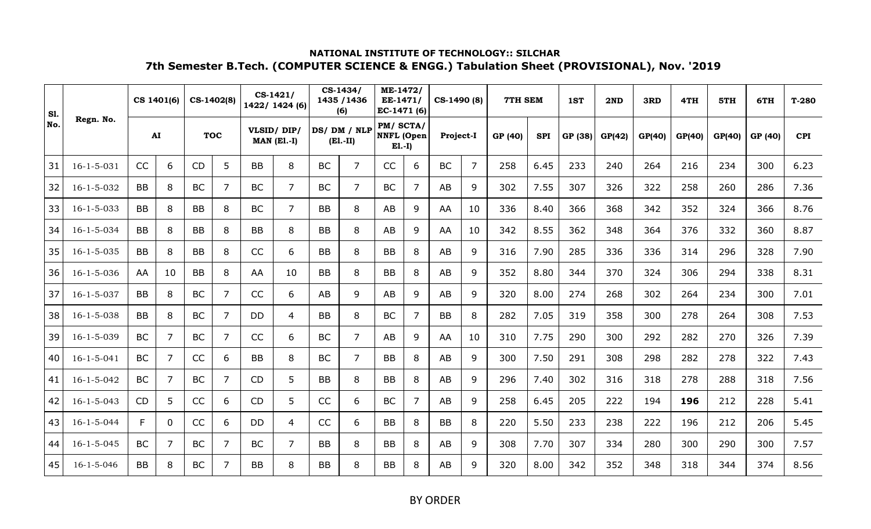| <b>S1.</b> |                    |           | CS 1401(6)     |           | CS-1402(8)     |           | $CS-1421/$<br>1422/ 1424 (6) |           | CS-1434/<br>1435 / 1436<br>(6) | ME-1472/<br>EE-1471/<br>EC-1471 (6)       |   | CS-1490 (8) |                | 7TH SEM |            | 1ST     | 2ND    | 3RD    | 4TH    | 5TH    | 6TH     | $T-280$    |
|------------|--------------------|-----------|----------------|-----------|----------------|-----------|------------------------------|-----------|--------------------------------|-------------------------------------------|---|-------------|----------------|---------|------------|---------|--------|--------|--------|--------|---------|------------|
| No.        | Regn. No.          |           | ${\bf AI}$     |           | <b>TOC</b>     |           | VLSID/DIP/<br>$MAN$ (E1.-I)  |           | DS/DM/NLP<br>$(E1.-II)$        | PM/SCTA/<br><b>NNFL</b> (Open<br>$E1.-I)$ |   | Project-I   |                | GP (40) | <b>SPI</b> | GP (38) | GP(42) | GP(40) | GP(40) | GP(40) | GP (40) | <b>CPI</b> |
| 31         | $16 - 1 - 5 - 031$ | CC        | 6              | <b>CD</b> | 5              | <b>BB</b> | 8                            | <b>BC</b> | $\overline{7}$                 | CC                                        | 6 | <b>BC</b>   | $\overline{7}$ | 258     | 6.45       | 233     | 240    | 264    | 216    | 234    | 300     | 6.23       |
| 32         | 16-1-5-032         | <b>BB</b> | 8              | <b>BC</b> | 7              | <b>BC</b> | $\overline{7}$               | <b>BC</b> | $\overline{7}$                 | <b>BC</b>                                 | 7 | AB          | 9              | 302     | 7.55       | 307     | 326    | 322    | 258    | 260    | 286     | 7.36       |
| 33         | $16 - 1 - 5 - 033$ | <b>BB</b> | 8              | <b>BB</b> | 8              | <b>BC</b> | $\overline{7}$               | <b>BB</b> | 8                              | AB                                        | 9 | AA          | 10             | 336     | 8.40       | 366     | 368    | 342    | 352    | 324    | 366     | 8.76       |
| 34         | $16 - 1 - 5 - 034$ | <b>BB</b> | 8              | <b>BB</b> | 8              | <b>BB</b> | 8                            | <b>BB</b> | 8                              | AB                                        | 9 | AA          | 10             | 342     | 8.55       | 362     | 348    | 364    | 376    | 332    | 360     | 8.87       |
| 35         | $16 - 1 - 5 - 035$ | <b>BB</b> | 8              | <b>BB</b> | 8              | CC        | 6                            | <b>BB</b> | 8                              | <b>BB</b>                                 | 8 | AB          | 9              | 316     | 7.90       | 285     | 336    | 336    | 314    | 296    | 328     | 7.90       |
| 36         | $16 - 1 - 5 - 036$ | AA        | 10             | <b>BB</b> | 8              | AA        | 10                           | <b>BB</b> | 8                              | <b>BB</b>                                 | 8 | AB          | 9              | 352     | 8.80       | 344     | 370    | 324    | 306    | 294    | 338     | 8.31       |
| 37         | $16 - 1 - 5 - 037$ | <b>BB</b> | 8              | <b>BC</b> | 7              | CC        | 6                            | AB        | 9                              | AB                                        | 9 | AB          | 9              | 320     | 8.00       | 274     | 268    | 302    | 264    | 234    | 300     | 7.01       |
| 38         | $16 - 1 - 5 - 038$ | <b>BB</b> | 8              | <b>BC</b> | $\overline{7}$ | <b>DD</b> | 4                            | <b>BB</b> | 8                              | <b>BC</b>                                 | 7 | <b>BB</b>   | 8              | 282     | 7.05       | 319     | 358    | 300    | 278    | 264    | 308     | 7.53       |
| 39         | $16 - 1 - 5 - 039$ | <b>BC</b> | 7              | <b>BC</b> | 7              | CC        | 6                            | <b>BC</b> | $\overline{7}$                 | AB                                        | 9 | AA          | 10             | 310     | 7.75       | 290     | 300    | 292    | 282    | 270    | 326     | 7.39       |
| 40         | $16 - 1 - 5 - 041$ | <b>BC</b> | $\overline{7}$ | CC        | 6              | <b>BB</b> | 8                            | <b>BC</b> | $\overline{7}$                 | <b>BB</b>                                 | 8 | AB          | 9              | 300     | 7.50       | 291     | 308    | 298    | 282    | 278    | 322     | 7.43       |
| 41         | $16 - 1 - 5 - 042$ | <b>BC</b> | $\overline{7}$ | <b>BC</b> | $\overline{7}$ | <b>CD</b> | 5                            | <b>BB</b> | 8                              | <b>BB</b>                                 | 8 | AB          | 9              | 296     | 7.40       | 302     | 316    | 318    | 278    | 288    | 318     | 7.56       |
| 42         | $16 - 1 - 5 - 043$ | <b>CD</b> | 5              | CC        | 6              | <b>CD</b> | 5                            | CC        | 6                              | <b>BC</b>                                 | 7 | AB          | 9              | 258     | 6.45       | 205     | 222    | 194    | 196    | 212    | 228     | 5.41       |
| 43         | $16 - 1 - 5 - 044$ | F.        | $\mathbf{0}$   | <b>CC</b> | 6              | <b>DD</b> | 4                            | CC        | 6                              | <b>BB</b>                                 | 8 | <b>BB</b>   | 8              | 220     | 5.50       | 233     | 238    | 222    | 196    | 212    | 206     | 5.45       |
| 44         | $16 - 1 - 5 - 045$ | <b>BC</b> | $\overline{7}$ | <b>BC</b> | 7              | <b>BC</b> | 7                            | <b>BB</b> | 8                              | <b>BB</b>                                 | 8 | AB          | 9              | 308     | 7.70       | 307     | 334    | 280    | 300    | 290    | 300     | 7.57       |
| 45         | $16 - 1 - 5 - 046$ | <b>BB</b> | 8              | <b>BC</b> | 7              | <b>BB</b> | 8                            | <b>BB</b> | 8                              | <b>BB</b>                                 | 8 | AB          | 9              | 320     | 8.00       | 342     | 352    | 348    | 318    | 344    | 374     | 8.56       |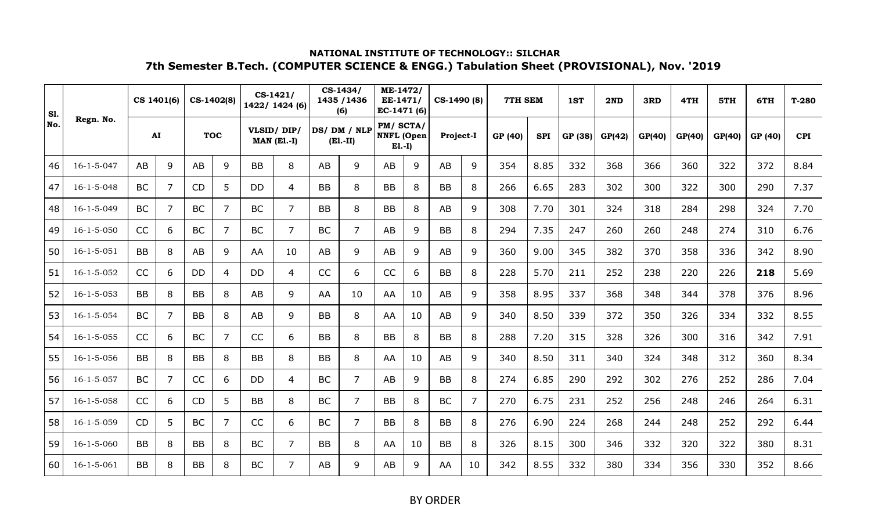| <b>S1.</b> |                    |           | CS 1401(6)     | CS-1402(8) |            |           | $CS-1421/$<br>1422/ 1424 (6)     |           | CS-1434/<br>1435 / 1436<br>(6) | ME-1472/<br>EE-1471/<br>EC-1471 (6)       |    | CS-1490 (8) |                | 7TH SEM |            | 1ST     | 2ND    | 3RD    | 4TH    | 5TH    | 6TH     | $T-280$    |
|------------|--------------------|-----------|----------------|------------|------------|-----------|----------------------------------|-----------|--------------------------------|-------------------------------------------|----|-------------|----------------|---------|------------|---------|--------|--------|--------|--------|---------|------------|
| No.        | Regn. No.          |           | AI             |            | <b>TOC</b> |           | VLSID/DIP/<br><b>MAN (El.-I)</b> |           | DS/DM/NLP<br>$(E1.-II)$        | PM/SCTA/<br><b>NNFL</b> (Open<br>$E1.-I)$ |    | Project-I   |                | GP (40) | <b>SPI</b> | GP (38) | GP(42) | GP(40) | GP(40) | GP(40) | GP (40) | <b>CPI</b> |
| 46         | $16 - 1 - 5 - 047$ | AB        | 9              | AB         | 9          | <b>BB</b> | 8                                | AB        | 9                              | AB                                        | 9  | AB          | 9              | 354     | 8.85       | 332     | 368    | 366    | 360    | 322    | 372     | 8.84       |
| 47         | $16 - 1 - 5 - 048$ | <b>BC</b> | $\overline{7}$ | <b>CD</b>  | 5          | <b>DD</b> | 4                                | <b>BB</b> | 8                              | <b>BB</b>                                 | 8  | <b>BB</b>   | 8              | 266     | 6.65       | 283     | 302    | 300    | 322    | 300    | 290     | 7.37       |
| 48         | $16 - 1 - 5 - 049$ | <b>BC</b> | $\overline{7}$ | <b>BC</b>  | 7          | <b>BC</b> | $\overline{7}$                   | <b>BB</b> | 8                              | <b>BB</b>                                 | 8  | AB          | 9              | 308     | 7.70       | 301     | 324    | 318    | 284    | 298    | 324     | 7.70       |
| 49         | $16 - 1 - 5 - 050$ | CC        | 6              | <b>BC</b>  | 7          | <b>BC</b> | 7                                | <b>BC</b> | $\overline{7}$                 | AB                                        | 9  | <b>BB</b>   | 8              | 294     | 7.35       | 247     | 260    | 260    | 248    | 274    | 310     | 6.76       |
| 50         | $16 - 1 - 5 - 051$ | <b>BB</b> | 8              | AB         | 9          | AA        | 10                               | AB        | 9                              | AB                                        | 9  | AB          | 9              | 360     | 9.00       | 345     | 382    | 370    | 358    | 336    | 342     | 8.90       |
| 51         | $16 - 1 - 5 - 052$ | CC        | 6              | DD         | 4          | DD        | 4                                | CC        | 6                              | CC                                        | 6  | <b>BB</b>   | 8              | 228     | 5.70       | 211     | 252    | 238    | 220    | 226    | 218     | 5.69       |
| 52         | $16 - 1 - 5 - 053$ | <b>BB</b> | 8              | <b>BB</b>  | 8          | AB        | 9                                | AA        | 10                             | AA                                        | 10 | AB          | 9              | 358     | 8.95       | 337     | 368    | 348    | 344    | 378    | 376     | 8.96       |
| 53         | $16 - 1 - 5 - 054$ | <b>BC</b> | $\overline{7}$ | <b>BB</b>  | 8          | AB        | 9                                | <b>BB</b> | 8                              | AA                                        | 10 | AB          | 9              | 340     | 8.50       | 339     | 372    | 350    | 326    | 334    | 332     | 8.55       |
| 54         | $16 - 1 - 5 - 055$ | CC        | 6              | <b>BC</b>  | 7          | CC        | 6                                | BB        | 8                              | BB                                        | 8  | <b>BB</b>   | 8              | 288     | 7.20       | 315     | 328    | 326    | 300    | 316    | 342     | 7.91       |
| 55         | $16 - 1 - 5 - 056$ | <b>BB</b> | 8              | <b>BB</b>  | 8          | <b>BB</b> | 8                                | <b>BB</b> | 8                              | AA                                        | 10 | AB          | 9              | 340     | 8.50       | 311     | 340    | 324    | 348    | 312    | 360     | 8.34       |
| 56         | $16 - 1 - 5 - 057$ | <b>BC</b> | $\overline{7}$ | CC         | 6          | <b>DD</b> | 4                                | <b>BC</b> | $\overline{7}$                 | AB                                        | 9  | <b>BB</b>   | 8              | 274     | 6.85       | 290     | 292    | 302    | 276    | 252    | 286     | 7.04       |
| 57         | $16 - 1 - 5 - 058$ | CC        | 6              | CD         | 5          | <b>BB</b> | 8                                | <b>BC</b> | $\overline{7}$                 | <b>BB</b>                                 | 8  | <b>BC</b>   | $\overline{7}$ | 270     | 6.75       | 231     | 252    | 256    | 248    | 246    | 264     | 6.31       |
| 58         | $16 - 1 - 5 - 059$ | <b>CD</b> | 5              | <b>BC</b>  | 7          | CC        | 6                                | <b>BC</b> | $\overline{7}$                 | <b>BB</b>                                 | 8  | <b>BB</b>   | 8              | 276     | 6.90       | 224     | 268    | 244    | 248    | 252    | 292     | 6.44       |
| 59         | $16 - 1 - 5 - 060$ | <b>BB</b> | 8              | <b>BB</b>  | 8          | <b>BC</b> | $\overline{7}$                   | <b>BB</b> | 8                              | AA                                        | 10 | <b>BB</b>   | 8              | 326     | 8.15       | 300     | 346    | 332    | 320    | 322    | 380     | 8.31       |
| 60         | $16 - 1 - 5 - 061$ | <b>BB</b> | 8              | <b>BB</b>  | 8          | <b>BC</b> | $\overline{7}$                   | AB        | 9                              | <b>AB</b>                                 | 9  | AA          | 10             | 342     | 8.55       | 332     | 380    | 334    | 356    | 330    | 352     | 8.66       |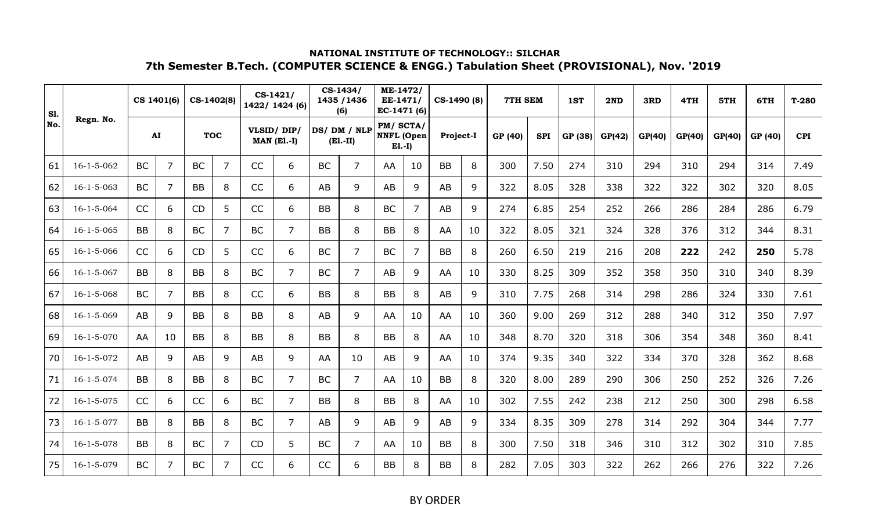| <b>S1.</b> |                    | CS 1401(6) |                |           | CS-1402(8) |           | $CS-1421/$<br>1422/ 1424 (6) |           | CS-1434/<br>1435 / 1436<br>(6) | ME-1472/<br>EE-1471/<br>EC-1471 (6)       |    | CS-1490 (8) |    | 7TH SEM |            | 1ST     | 2ND    | 3RD    | 4TH    | 5TH    | 6TH     | $T-280$    |
|------------|--------------------|------------|----------------|-----------|------------|-----------|------------------------------|-----------|--------------------------------|-------------------------------------------|----|-------------|----|---------|------------|---------|--------|--------|--------|--------|---------|------------|
| No.        | Regn. No.          | AI         |                |           | <b>TOC</b> |           | VLSID/DIP/<br>$MAN$ (E1.-I)  |           | DS/DM/NLP<br>$(E1.-II)$        | PM/SCTA/<br><b>NNFL</b> (Open<br>$E1.-I)$ |    | Project-I   |    | GP (40) | <b>SPI</b> | GP (38) | GP(42) | GP(40) | GP(40) | GP(40) | GP (40) | <b>CPI</b> |
| 61         | $16 - 1 - 5 - 062$ | <b>BC</b>  | $\overline{7}$ | <b>BC</b> | 7          | CC        | 6                            | <b>BC</b> | $\overline{7}$                 | AA                                        | 10 | <b>BB</b>   | 8  | 300     | 7.50       | 274     | 310    | 294    | 310    | 294    | 314     | 7.49       |
| 62         | $16 - 1 - 5 - 063$ | <b>BC</b>  | $\overline{7}$ | <b>BB</b> | 8          | CC        | 6                            | AB        | 9                              | AB                                        | 9  | AB          | 9  | 322     | 8.05       | 328     | 338    | 322    | 322    | 302    | 320     | 8.05       |
| 63         | $16 - 1 - 5 - 064$ | CC         | 6              | <b>CD</b> | 5          | CC        | 6                            | <b>BB</b> | 8                              | <b>BC</b>                                 | 7  | <b>AB</b>   | 9  | 274     | 6.85       | 254     | 252    | 266    | 286    | 284    | 286     | 6.79       |
| 64         | $16 - 1 - 5 - 065$ | <b>BB</b>  | 8              | <b>BC</b> | 7          | <b>BC</b> | $\overline{7}$               | <b>BB</b> | 8                              | <b>BB</b>                                 | 8  | AA          | 10 | 322     | 8.05       | 321     | 324    | 328    | 376    | 312    | 344     | 8.31       |
| 65         | $16 - 1 - 5 - 066$ | CC         | 6              | <b>CD</b> | 5          | CC        | 6                            | <b>BC</b> | $\overline{7}$                 | <b>BC</b>                                 | 7  | <b>BB</b>   | 8  | 260     | 6.50       | 219     | 216    | 208    | 222    | 242    | 250     | 5.78       |
| 66         | $16 - 1 - 5 - 067$ | <b>BB</b>  | 8              | <b>BB</b> | 8          | <b>BC</b> | $\overline{7}$               | <b>BC</b> | $\overline{7}$                 | AB                                        | 9  | AA          | 10 | 330     | 8.25       | 309     | 352    | 358    | 350    | 310    | 340     | 8.39       |
| 67         | $16 - 1 - 5 - 068$ | <b>BC</b>  | $\overline{7}$ | <b>BB</b> | 8          | CC        | 6                            | <b>BB</b> | 8                              | <b>BB</b>                                 | 8  | AB          | 9  | 310     | 7.75       | 268     | 314    | 298    | 286    | 324    | 330     | 7.61       |
| 68         | $16 - 1 - 5 - 069$ | AB         | 9              | <b>BB</b> | 8          | <b>BB</b> | 8                            | AB        | 9                              | AA                                        | 10 | AA          | 10 | 360     | 9.00       | 269     | 312    | 288    | 340    | 312    | 350     | 7.97       |
| 69         | $16 - 1 - 5 - 070$ | AA         | 10             | BB        | 8          | <b>BB</b> | 8                            | <b>BB</b> | 8                              | BB                                        | 8  | AA          | 10 | 348     | 8.70       | 320     | 318    | 306    | 354    | 348    | 360     | 8.41       |
| 70         | $16 - 1 - 5 - 072$ | AB         | 9              | AB        | 9          | AB        | 9                            | AA        | 10                             | AB                                        | 9  | AA          | 10 | 374     | 9.35       | 340     | 322    | 334    | 370    | 328    | 362     | 8.68       |
| 71         | $16 - 1 - 5 - 074$ | <b>BB</b>  | 8              | BB        | 8          | <b>BC</b> | $\overline{7}$               | <b>BC</b> | $\overline{7}$                 | AA                                        | 10 | <b>BB</b>   | 8  | 320     | 8.00       | 289     | 290    | 306    | 250    | 252    | 326     | 7.26       |
| 72         | $16 - 1 - 5 - 075$ | CC         | 6              | CC        | 6          | <b>BC</b> | $\overline{7}$               | <b>BB</b> | 8                              | <b>BB</b>                                 | 8  | AA          | 10 | 302     | 7.55       | 242     | 238    | 212    | 250    | 300    | 298     | 6.58       |
| 73         | $16 - 1 - 5 - 077$ | <b>BB</b>  | 8              | <b>BB</b> | 8          | <b>BC</b> | 7                            | AB        | 9                              | <b>AB</b>                                 | 9  | AB          | 9  | 334     | 8.35       | 309     | 278    | 314    | 292    | 304    | 344     | 7.77       |
| 74         | $16 - 1 - 5 - 078$ | <b>BB</b>  | 8              | <b>BC</b> | 7          | CD        | 5                            | <b>BC</b> | $\overline{7}$                 | AA                                        | 10 | <b>BB</b>   | 8  | 300     | 7.50       | 318     | 346    | 310    | 312    | 302    | 310     | 7.85       |
| 75         | $16 - 1 - 5 - 079$ | <b>BC</b>  | $\overline{7}$ | <b>BC</b> | 7          | CC        | 6                            | <b>CC</b> | 6                              | <b>BB</b>                                 | 8  | <b>BB</b>   | 8  | 282     | 7.05       | 303     | 322    | 262    | 266    | 276    | 322     | 7.26       |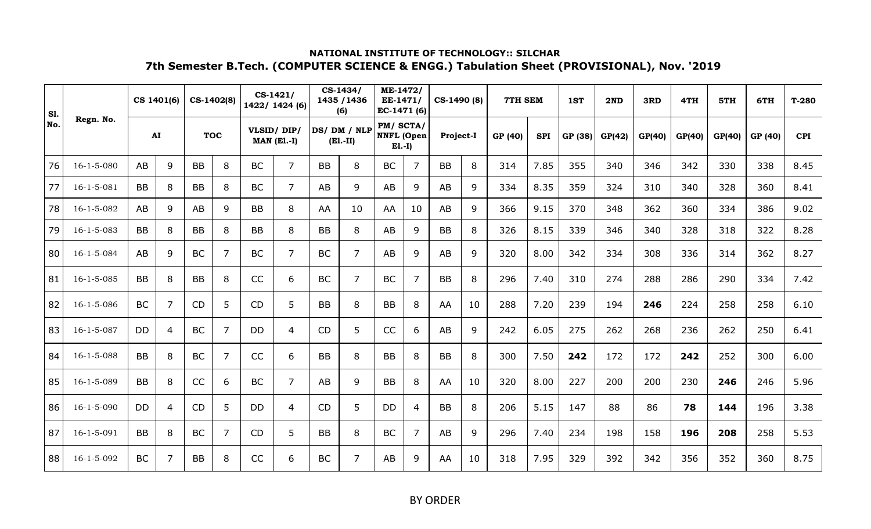| <b>S1.</b> |                    |           | CS 1401(6)     |           | CS-1402(8) |           | CS-1421/<br>1422/ 1424 (6)  |           | CS-1434/<br>1435 / 1436<br>(6) | ME-1472/<br>EE-1471/<br>EC-1471 (6)       |    | CS-1490 (8) |    | <b>7TH SEM</b> |            | 1ST     | 2ND    | 3RD    | 4TH    | 5TH    | 6TH     | $T-280$    |
|------------|--------------------|-----------|----------------|-----------|------------|-----------|-----------------------------|-----------|--------------------------------|-------------------------------------------|----|-------------|----|----------------|------------|---------|--------|--------|--------|--------|---------|------------|
| No.        | Regn. No.          |           | ${\bf AI}$     |           | <b>TOC</b> |           | VLSID/DIP/<br>$MAN$ (E1.-I) |           | DS/DM/NLP<br>$(E1.-II)$        | PM/SCTA/<br><b>NNFL</b> (Open<br>$E1.-I)$ |    | Project-I   |    | GP (40)        | <b>SPI</b> | GP (38) | GP(42) | GP(40) | GP(40) | GP(40) | GP (40) | <b>CPI</b> |
| 76         | $16 - 1 - 5 - 080$ | AB        | 9              | <b>BB</b> | 8          | <b>BC</b> | $\overline{7}$              | <b>BB</b> | 8                              | <b>BC</b>                                 | 7  | <b>BB</b>   | 8  | 314            | 7.85       | 355     | 340    | 346    | 342    | 330    | 338     | 8.45       |
| 77         | $16 - 1 - 5 - 081$ | <b>BB</b> | 8              | <b>BB</b> | 8          | BC        | $\overline{7}$              | AB        | 9                              | AB                                        | 9  | AB          | 9  | 334            | 8.35       | 359     | 324    | 310    | 340    | 328    | 360     | 8.41       |
| 78         | $16 - 1 - 5 - 082$ | AB        | 9              | AB        | 9          | <b>BB</b> | 8                           | AA        | 10                             | AA                                        | 10 | AB          | 9  | 366            | 9.15       | 370     | 348    | 362    | 360    | 334    | 386     | 9.02       |
| 79         | $16 - 1 - 5 - 083$ | <b>BB</b> | 8              | <b>BB</b> | 8          | <b>BB</b> | 8                           | <b>BB</b> | 8                              | AB                                        | 9  | <b>BB</b>   | 8  | 326            | 8.15       | 339     | 346    | 340    | 328    | 318    | 322     | 8.28       |
| 80         | $16 - 1 - 5 - 084$ | AB        | 9              | <b>BC</b> | 7          | <b>BC</b> | $\overline{7}$              | <b>BC</b> | $\overline{7}$                 | AB                                        | 9  | AB          | 9  | 320            | 8.00       | 342     | 334    | 308    | 336    | 314    | 362     | 8.27       |
| 81         | $16 - 1 - 5 - 085$ | <b>BB</b> | 8              | <b>BB</b> | 8          | CC        | 6                           | <b>BC</b> | $\overline{7}$                 | <b>BC</b>                                 | 7  | <b>BB</b>   | 8  | 296            | 7.40       | 310     | 274    | 288    | 286    | 290    | 334     | 7.42       |
| 82         | $16 - 1 - 5 - 086$ | <b>BC</b> | $\overline{7}$ | <b>CD</b> | 5          | <b>CD</b> | 5                           | <b>BB</b> | 8                              | <b>BB</b>                                 | 8  | AA          | 10 | 288            | 7.20       | 239     | 194    | 246    | 224    | 258    | 258     | 6.10       |
| 83         | $16 - 1 - 5 - 087$ | DD        | $\overline{4}$ | <b>BC</b> | 7          | <b>DD</b> | 4                           | CD        | 5                              | CC                                        | 6  | AB          | 9  | 242            | 6.05       | 275     | 262    | 268    | 236    | 262    | 250     | 6.41       |
| 84         | $16 - 1 - 5 - 088$ | <b>BB</b> | 8              | <b>BC</b> | 7          | CC        | 6                           | <b>BB</b> | 8                              | <b>BB</b>                                 | 8  | <b>BB</b>   | 8  | 300            | 7.50       | 242     | 172    | 172    | 242    | 252    | 300     | 6.00       |
| 85         | $16 - 1 - 5 - 089$ | <b>BB</b> | 8              | CC        | 6          | <b>BC</b> | $\overline{7}$              | AB        | 9                              | <b>BB</b>                                 | 8  | AA          | 10 | 320            | 8.00       | 227     | 200    | 200    | 230    | 246    | 246     | 5.96       |
| 86         | $16 - 1 - 5 - 090$ | <b>DD</b> | $\overline{4}$ | <b>CD</b> | 5          | <b>DD</b> | 4                           | <b>CD</b> | 5                              | <b>DD</b>                                 | 4  | <b>BB</b>   | 8  | 206            | 5.15       | 147     | 88     | 86     | 78     | 144    | 196     | 3.38       |
| 87         | $16 - 1 - 5 - 091$ | <b>BB</b> | 8              | <b>BC</b> | 7          | <b>CD</b> | 5                           | <b>BB</b> | 8                              | <b>BC</b>                                 | 7  | AB          | 9  | 296            | 7.40       | 234     | 198    | 158    | 196    | 208    | 258     | 5.53       |
| 88         | 16-1-5-092         | <b>BC</b> | $\overline{7}$ | <b>BB</b> | 8          | CC        | 6                           | <b>BC</b> | $\overline{7}$                 | AB                                        | 9  | AA          | 10 | 318            | 7.95       | 329     | 392    | 342    | 356    | 352    | 360     | 8.75       |